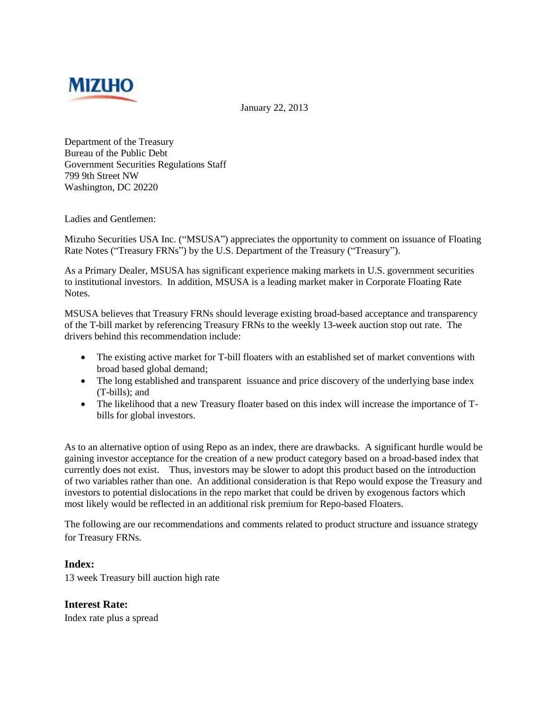

January 22, 2013

Department of the Treasury Bureau of the Public Debt Government Securities Regulations Staff 799 9th Street NW Washington, DC 20220

Ladies and Gentlemen:

Mizuho Securities USA Inc. ("MSUSA") appreciates the opportunity to comment on issuance of Floating Rate Notes ("Treasury FRNs") by the U.S. Department of the Treasury ("Treasury").

As a Primary Dealer, MSUSA has significant experience making markets in U.S. government securities to institutional investors. In addition, MSUSA is a leading market maker in Corporate Floating Rate Notes.

MSUSA believes that Treasury FRNs should leverage existing broad-based acceptance and transparency of the T-bill market by referencing Treasury FRNs to the weekly 13-week auction stop out rate. The drivers behind this recommendation include:

- The existing active market for T-bill floaters with an established set of market conventions with broad based global demand;
- The long established and transparent issuance and price discovery of the underlying base index (T-bills); and
- The likelihood that a new Treasury floater based on this index will increase the importance of Tbills for global investors.

As to an alternative option of using Repo as an index, there are drawbacks. A significant hurdle would be gaining investor acceptance for the creation of a new product category based on a broad-based index that currently does not exist. Thus, investors may be slower to adopt this product based on the introduction of two variables rather than one. An additional consideration is that Repo would expose the Treasury and investors to potential dislocations in the repo market that could be driven by exogenous factors which most likely would be reflected in an additional risk premium for Repo-based Floaters.

The following are our recommendations and comments related to product structure and issuance strategy for Treasury FRNs.

#### **Index:**

13 week Treasury bill auction high rate

**Interest Rate:** Index rate plus a spread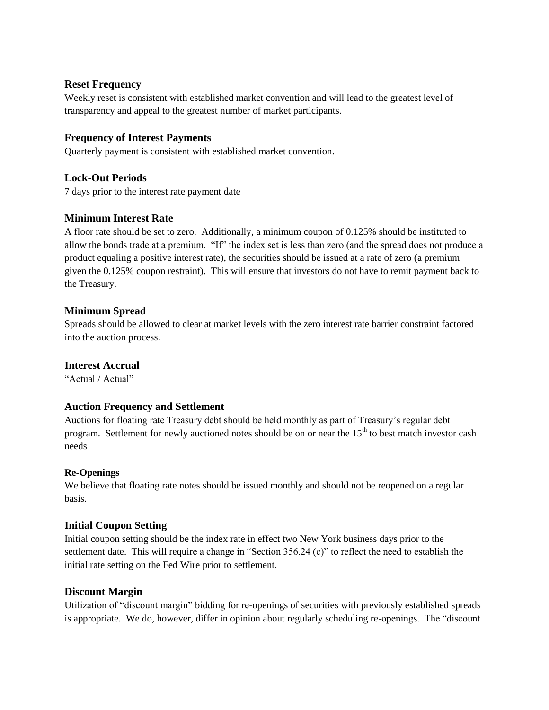### **Reset Frequency**

Weekly reset is consistent with established market convention and will lead to the greatest level of transparency and appeal to the greatest number of market participants.

## **Frequency of Interest Payments**

Quarterly payment is consistent with established market convention.

## **Lock-Out Periods**

7 days prior to the interest rate payment date

## **Minimum Interest Rate**

A floor rate should be set to zero. Additionally, a minimum coupon of 0.125% should be instituted to allow the bonds trade at a premium. "If" the index set is less than zero (and the spread does not produce a product equaling a positive interest rate), the securities should be issued at a rate of zero (a premium given the 0.125% coupon restraint). This will ensure that investors do not have to remit payment back to the Treasury.

## **Minimum Spread**

Spreads should be allowed to clear at market levels with the zero interest rate barrier constraint factored into the auction process.

### **Interest Accrual**

"Actual / Actual"

# **Auction Frequency and Settlement**

Auctions for floating rate Treasury debt should be held monthly as part of Treasury's regular debt program. Settlement for newly auctioned notes should be on or near the  $15<sup>th</sup>$  to best match investor cash needs

### **Re-Openings**

We believe that floating rate notes should be issued monthly and should not be reopened on a regular basis.

### **Initial Coupon Setting**

Initial coupon setting should be the index rate in effect two New York business days prior to the settlement date. This will require a change in "Section 356.24 (c)" to reflect the need to establish the initial rate setting on the Fed Wire prior to settlement.

### **Discount Margin**

Utilization of "discount margin" bidding for re-openings of securities with previously established spreads is appropriate. We do, however, differ in opinion about regularly scheduling re-openings. The "discount